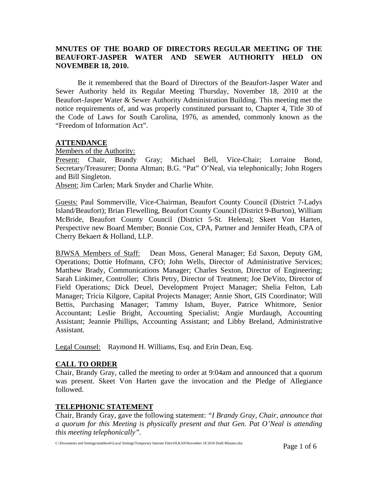# **MNUTES OF THE BOARD OF DIRECTORS REGULAR MEETING OF THE BEAUFORT-JASPER WATER AND SEWER AUTHORITY HELD ON NOVEMBER 18, 2010.**

Be it remembered that the Board of Directors of the Beaufort-Jasper Water and Sewer Authority held its Regular Meeting Thursday, November 18, 2010 at the Beaufort-Jasper Water & Sewer Authority Administration Building. This meeting met the notice requirements of, and was properly constituted pursuant to, Chapter 4, Title 30 of the Code of Laws for South Carolina, 1976, as amended, commonly known as the "Freedom of Information Act".

# **ATTENDANCE**

Members of the Authority:

Present: Chair, Brandy Gray; Michael Bell, Vice-Chair; Lorraine Bond, Secretary/Treasurer; Donna Altman; B.G. "Pat" O'Neal, via telephonically; John Rogers and Bill Singleton.

Absent: Jim Carlen; Mark Snyder and Charlie White.

Guests: Paul Sommerville, Vice-Chairman, Beaufort County Council (District 7-Ladys Island/Beaufort); Brian Flewelling, Beaufort County Council (District 9-Burton), William McBride, Beaufort County Council (District 5-St. Helena); Skeet Von Harten, Perspective new Board Member; Bonnie Cox, CPA, Partner and Jennifer Heath, CPA of Cherry Bekaert & Holland, LLP.

BJWSA Members of Staff: Dean Moss, General Manager; Ed Saxon, Deputy GM, Operations; Dottie Hofmann, CFO; John Wells, Director of Administrative Services; Matthew Brady, Communications Manager; Charles Sexton, Director of Engineering; Sarah Linkimer, Controller; Chris Petry, Director of Treatment; Joe DeVito, Director of Field Operations; Dick Deuel, Development Project Manager; Shelia Felton, Lab Manager; Tricia Kilgore, Capital Projects Manager; Annie Short, GIS Coordinator; Will Bettis, Purchasing Manager; Tammy Isham, Buyer, Patrice Whitmore, Senior Accountant; Leslie Bright, Accounting Specialist; Angie Murdaugh, Accounting Assistant; Jeannie Phillips, Accounting Assistant; and Libby Breland, Administrative Assistant.

Legal Counsel: Raymond H. Williams, Esq. and Erin Dean, Esq.

### **CALL TO ORDER**

Chair, Brandy Gray, called the meeting to order at 9:04am and announced that a quorum was present. Skeet Von Harten gave the invocation and the Pledge of Allegiance followed.

# **TELEPHONIC STATEMENT**

Chair, Brandy Gray, gave the following statement: *"I Brandy Gray, Chair, announce that a quorum for this Meeting is physically present and that Gen. Pat O'Neal is attending this meeting telephonically".*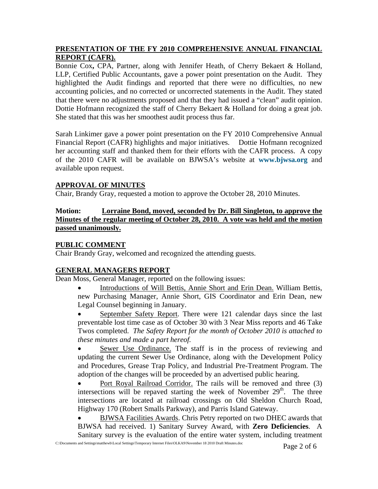# **PRESENTATION OF THE FY 2010 COMPREHENSIVE ANNUAL FINANCIAL REPORT (CAFR).**

Bonnie Cox**,** CPA, Partner, along with Jennifer Heath, of Cherry Bekaert & Holland, LLP, Certified Public Accountants, gave a power point presentation on the Audit. They highlighted the Audit findings and reported that there were no difficulties, no new accounting policies, and no corrected or uncorrected statements in the Audit. They stated that there were no adjustments proposed and that they had issued a "clean" audit opinion. Dottie Hofmann recognized the staff of Cherry Bekaert & Holland for doing a great job. She stated that this was her smoothest audit process thus far.

Sarah Linkimer gave a power point presentation on the FY 2010 Comprehensive Annual Financial Report (CAFR) highlights and major initiatives. Dottie Hofmann recognized her accounting staff and thanked them for their efforts with the CAFR process. A copy of the 2010 CAFR will be available on BJWSA's website at **[www.bjwsa.org](http://www.bjwsa.org/)** and available upon request.

# **APPROVAL OF MINUTES**

Chair, Brandy Gray, requested a motion to approve the October 28, 2010 Minutes.

# **Motion: Lorraine Bond, moved, seconded by Dr. Bill Singleton, to approve the Minutes of the regular meeting of October 28, 2010. A vote was held and the motion passed unanimously.**

# **PUBLIC COMMENT**

Chair Brandy Gray, welcomed and recognized the attending guests.

# **GENERAL MANAGERS REPORT**

Dean Moss, General Manager, reported on the following issues:

• Introductions of Will Bettis, Annie Short and Erin Dean. William Bettis, new Purchasing Manager, Annie Short, GIS Coordinator and Erin Dean, new Legal Counsel beginning in January.

• September Safety Report. There were 121 calendar days since the last preventable lost time case as of October 30 with 3 Near Miss reports and 46 Take Twos completed. *The Safety Report for the month of October 2010 is attached to these minutes and made a part hereof.* 

Sewer Use Ordinance. The staff is in the process of reviewing and updating the current Sewer Use Ordinance, along with the Development Policy and Procedures, Grease Trap Policy, and Industrial Pre-Treatment Program. The adoption of the changes will be proceeded by an advertised public hearing.

• Port Royal Railroad Corridor. The rails will be removed and three (3) intersections will be repaved starting the week of November  $29<sup>th</sup>$ . The three intersections are located at railroad crossings on Old Sheldon Church Road, Highway 170 (Robert Smalls Parkway), and Parris Island Gateway.

• BJWSA Facilities Awards. Chris Petry reported on two DHEC awards that BJWSA had received. 1) Sanitary Survey Award, with **Zero Deficiencies**. A Sanitary survey is the evaluation of the entire water system, including treatment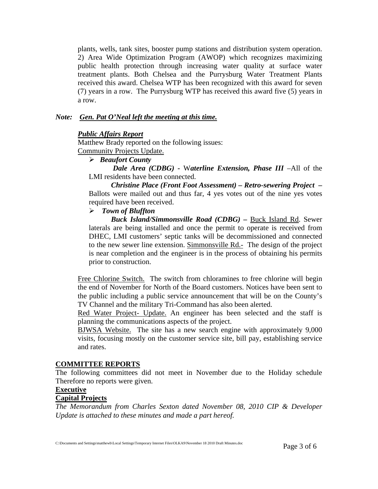plants, wells, tank sites, booster pump stations and distribution system operation. 2) Area Wide Optimization Program (AWOP) which recognizes maximizing public health protection through increasing water quality at surface water treatment plants. Both Chelsea and the Purrysburg Water Treatment Plants received this award. Chelsea WTP has been recognized with this award for seven (7) years in a row. The Purrysburg WTP has received this award five (5) years in a row.

### *Note: Gen. Pat O'Neal left the meeting at this time.*

#### *Public Affairs Report*

Matthew Brady reported on the following issues:

Community Projects Update.

# ¾ *Beaufort County*

*Dale Area (CDBG) -* W*aterline Extension, Phase III* –All of the LMI residents have been connected.

*Christine Place (Front Foot Assessment) – Retro-sewering Project –* Ballots were mailed out and thus far, 4 yes votes out of the nine yes votes required have been received.

### ¾ *Town of Bluffton*

*Buck Island/Simmonsville Road (CDBG) –* Buck Island Rd. Sewer laterals are being installed and once the permit to operate is received from DHEC, LMI customers' septic tanks will be decommissioned and connected to the new sewer line extension. Simmonsville Rd.- The design of the project is near completion and the engineer is in the process of obtaining his permits prior to construction.

Free Chlorine Switch. The switch from chloramines to free chlorine will begin the end of November for North of the Board customers. Notices have been sent to the public including a public service announcement that will be on the County's TV Channel and the military Tri-Command has also been alerted.

Red Water Project- Update. An engineer has been selected and the staff is planning the communications aspects of the project.

 BJWSA Website. The site has a new search engine with approximately 9,000 visits, focusing mostly on the customer service site, bill pay, establishing service and rates.

### **COMMITTEE REPORTS**

The following committees did not meet in November due to the Holiday schedule Therefore no reports were given.

#### **Executive**

#### **Capital Projects**

*The Memorandum from Charles Sexton dated November 08, 2010 CIP & Developer Update is attached to these minutes and made a part hereof.*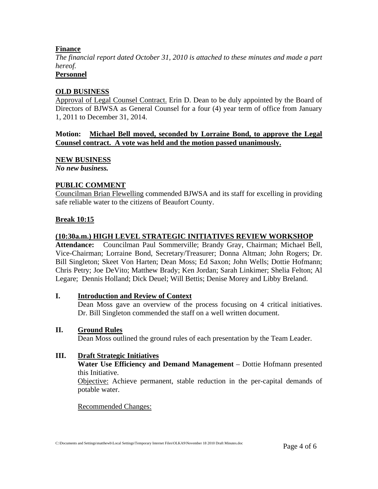## **Finance**

*The financial report dated October 31, 2010 is attached to these minutes and made a part hereof.*

# **Personnel**

### **OLD BUSINESS**

Approval of Legal Counsel Contract. Erin D. Dean to be duly appointed by the Board of Directors of BJWSA as General Counsel for a four (4) year term of office from January 1, 2011 to December 31, 2014.

### **Motion: Michael Bell moved, seconded by Lorraine Bond, to approve the Legal Counsel contract. A vote was held and the motion passed unanimously.**

### **NEW BUSINESS**

*No new business.* 

### **PUBLIC COMMENT**

Councilman Brian Flewelling commended BJWSA and its staff for excelling in providing safe reliable water to the citizens of Beaufort County.

### **Break 10:15**

### **(10:30a.m.) HIGH LEVEL STRATEGIC INITIATIVES REVIEW WORKSHOP**

**Attendance:** Councilman Paul Sommerville; Brandy Gray, Chairman; Michael Bell, Vice-Chairman; Lorraine Bond, Secretary/Treasurer; Donna Altman; John Rogers; Dr. Bill Singleton; Skeet Von Harten; Dean Moss; Ed Saxon; John Wells; Dottie Hofmann; Chris Petry; Joe DeVito; Matthew Brady; Ken Jordan; Sarah Linkimer; Shelia Felton; Al Legare; Dennis Holland; Dick Deuel; Will Bettis; Denise Morey and Libby Breland.

### **I. Introduction and Review of Context**

 Dean Moss gave an overview of the process focusing on 4 critical initiatives. Dr. Bill Singleton commended the staff on a well written document.

### **II. Ground Rules**

Dean Moss outlined the ground rules of each presentation by the Team Leader.

### **III. Draft Strategic Initiatives**

**Water Use Efficiency and Demand Management** – Dottie Hofmann presented this Initiative.

Objective: Achieve permanent, stable reduction in the per-capital demands of potable water.

#### Recommended Changes: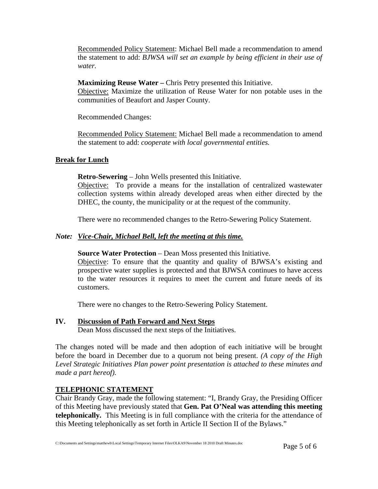Recommended Policy Statement: Michael Bell made a recommendation to amend the statement to add: *BJWSA will set an example by being efficient in their use of water.* 

**Maximizing Reuse Water – Chris Petry presented this Initiative.** 

Objective: Maximize the utilization of Reuse Water for non potable uses in the communities of Beaufort and Jasper County.

Recommended Changes:

Recommended Policy Statement: Michael Bell made a recommendation to amend the statement to add: *cooperate with local governmental entities.* 

# **Break for Lunch**

**Retro-Sewering** – John Wells presented this Initiative.

Objective: To provide a means for the installation of centralized wastewater collection systems within already developed areas when either directed by the DHEC, the county, the municipality or at the request of the community.

There were no recommended changes to the Retro-Sewering Policy Statement.

# *Note: Vice-Chair, Michael Bell, left the meeting at this time.*

**Source Water Protection** – Dean Moss presented this Initiative.

 Objective: To ensure that the quantity and quality of BJWSA's existing and prospective water supplies is protected and that BJWSA continues to have access to the water resources it requires to meet the current and future needs of its customers.

There were no changes to the Retro-Sewering Policy Statement.

#### **IV. Discussion of Path Forward and Next Steps** Dean Moss discussed the next steps of the Initiatives.

The changes noted will be made and then adoption of each initiative will be brought before the board in December due to a quorum not being present. *(A copy of the High Level Strategic Initiatives Plan power point presentation is attached to these minutes and made a part hereof).* 

# **TELEPHONIC STATEMENT**

Chair Brandy Gray, made the following statement: "I, Brandy Gray, the Presiding Officer of this Meeting have previously stated that **Gen. Pat O'Neal was attending this meeting telephonically.** This Meeting is in full compliance with the criteria for the attendance of this Meeting telephonically as set forth in Article II Section II of the Bylaws."